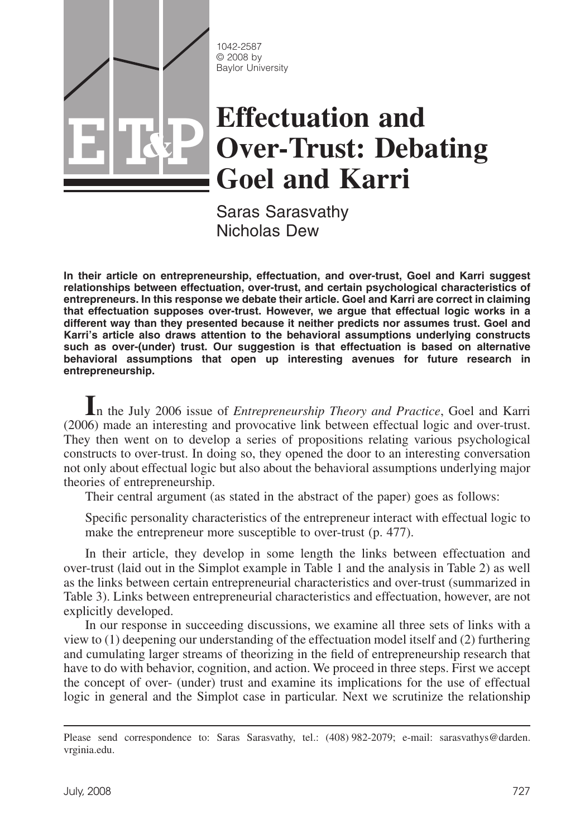

Saras Sarasvathy Nicholas Dew

**In their article on entrepreneurship, effectuation, and over-trust, Goel and Karri suggest relationships between effectuation, over-trust, and certain psychological characteristics of entrepreneurs. In this response we debate their article. Goel and Karri are correct in claiming that effectuation supposes over-trust. However, we argue that effectual logic works in a different way than they presented because it neither predicts nor assumes trust. Goel and Karri's article also draws attention to the behavioral assumptions underlying constructs such as over-(under) trust. Our suggestion is that effectuation is based on alternative behavioral assumptions that open up interesting avenues for future research in entrepreneurship.**

**I**n the July 2006 issue of *Entrepreneurship Theory and Practice*, Goel and Karri (2006) made an interesting and provocative link between effectual logic and over-trust. They then went on to develop a series of propositions relating various psychological constructs to over-trust. In doing so, they opened the door to an interesting conversation not only about effectual logic but also about the behavioral assumptions underlying major theories of entrepreneurship.

Their central argument (as stated in the abstract of the paper) goes as follows:

Specific personality characteristics of the entrepreneur interact with effectual logic to make the entrepreneur more susceptible to over-trust (p. 477).

In their article, they develop in some length the links between effectuation and over-trust (laid out in the Simplot example in Table 1 and the analysis in Table 2) as well as the links between certain entrepreneurial characteristics and over-trust (summarized in Table 3). Links between entrepreneurial characteristics and effectuation, however, are not explicitly developed.

In our response in succeeding discussions, we examine all three sets of links with a view to (1) deepening our understanding of the effectuation model itself and (2) furthering and cumulating larger streams of theorizing in the field of entrepreneurship research that have to do with behavior, cognition, and action. We proceed in three steps. First we accept the concept of over- (under) trust and examine its implications for the use of effectual logic in general and the Simplot case in particular. Next we scrutinize the relationship

Please send correspondence to: Saras Sarasvathy, tel.: (408) 982-2079; e-mail: sarasvathys@darden. vrginia.edu.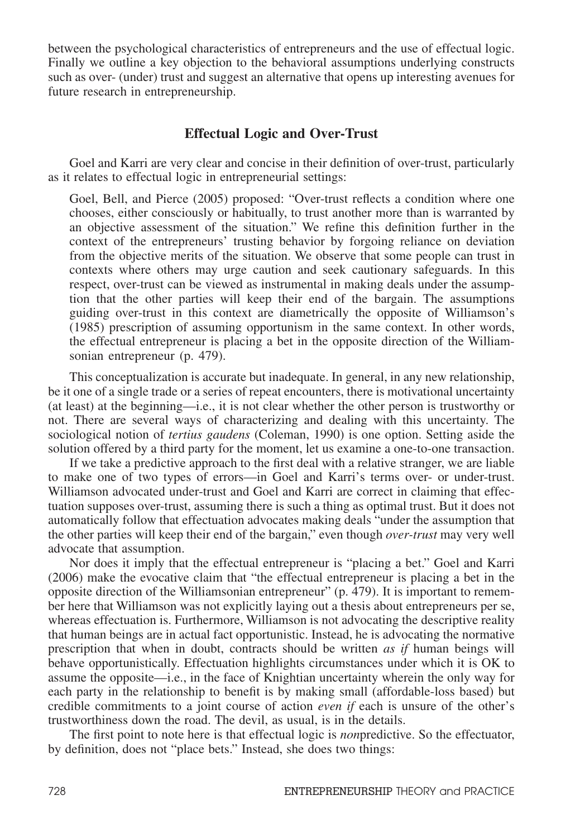between the psychological characteristics of entrepreneurs and the use of effectual logic. Finally we outline a key objection to the behavioral assumptions underlying constructs such as over- (under) trust and suggest an alternative that opens up interesting avenues for future research in entrepreneurship.

## **Effectual Logic and Over-Trust**

Goel and Karri are very clear and concise in their definition of over-trust, particularly as it relates to effectual logic in entrepreneurial settings:

Goel, Bell, and Pierce (2005) proposed: "Over-trust reflects a condition where one chooses, either consciously or habitually, to trust another more than is warranted by an objective assessment of the situation." We refine this definition further in the context of the entrepreneurs' trusting behavior by forgoing reliance on deviation from the objective merits of the situation. We observe that some people can trust in contexts where others may urge caution and seek cautionary safeguards. In this respect, over-trust can be viewed as instrumental in making deals under the assumption that the other parties will keep their end of the bargain. The assumptions guiding over-trust in this context are diametrically the opposite of Williamson's (1985) prescription of assuming opportunism in the same context. In other words, the effectual entrepreneur is placing a bet in the opposite direction of the Williamsonian entrepreneur (p. 479).

This conceptualization is accurate but inadequate. In general, in any new relationship, be it one of a single trade or a series of repeat encounters, there is motivational uncertainty (at least) at the beginning—i.e., it is not clear whether the other person is trustworthy or not. There are several ways of characterizing and dealing with this uncertainty. The sociological notion of *tertius gaudens* (Coleman, 1990) is one option. Setting aside the solution offered by a third party for the moment, let us examine a one-to-one transaction.

If we take a predictive approach to the first deal with a relative stranger, we are liable to make one of two types of errors—in Goel and Karri's terms over- or under-trust. Williamson advocated under-trust and Goel and Karri are correct in claiming that effectuation supposes over-trust, assuming there is such a thing as optimal trust. But it does not automatically follow that effectuation advocates making deals "under the assumption that the other parties will keep their end of the bargain," even though *over-trust* may very well advocate that assumption.

Nor does it imply that the effectual entrepreneur is "placing a bet." Goel and Karri (2006) make the evocative claim that "the effectual entrepreneur is placing a bet in the opposite direction of the Williamsonian entrepreneur" (p. 479). It is important to remember here that Williamson was not explicitly laying out a thesis about entrepreneurs per se, whereas effectuation is. Furthermore, Williamson is not advocating the descriptive reality that human beings are in actual fact opportunistic. Instead, he is advocating the normative prescription that when in doubt, contracts should be written *as if* human beings will behave opportunistically. Effectuation highlights circumstances under which it is OK to assume the opposite—i.e., in the face of Knightian uncertainty wherein the only way for each party in the relationship to benefit is by making small (affordable-loss based) but credible commitments to a joint course of action *even if* each is unsure of the other's trustworthiness down the road. The devil, as usual, is in the details.

The first point to note here is that effectual logic is *non*predictive. So the effectuator, by definition, does not "place bets." Instead, she does two things: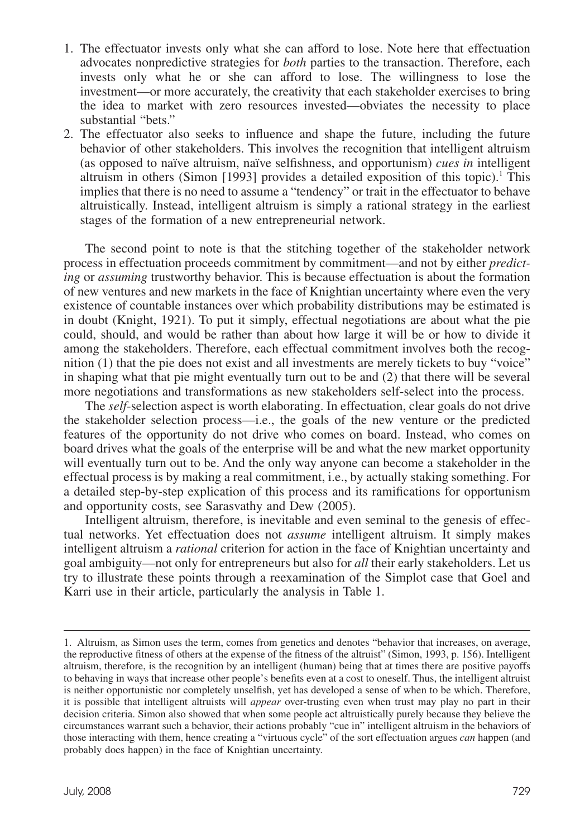- 1. The effectuator invests only what she can afford to lose. Note here that effectuation advocates nonpredictive strategies for *both* parties to the transaction. Therefore, each invests only what he or she can afford to lose. The willingness to lose the investment—or more accurately, the creativity that each stakeholder exercises to bring the idea to market with zero resources invested—obviates the necessity to place substantial "bets."
- 2. The effectuator also seeks to influence and shape the future, including the future behavior of other stakeholders. This involves the recognition that intelligent altruism (as opposed to naïve altruism, naïve selfishness, and opportunism) *cues in* intelligent altruism in others (Simon [1993] provides a detailed exposition of this topic).<sup>1</sup> This implies that there is no need to assume a "tendency" or trait in the effectuator to behave altruistically. Instead, intelligent altruism is simply a rational strategy in the earliest stages of the formation of a new entrepreneurial network.

The second point to note is that the stitching together of the stakeholder network process in effectuation proceeds commitment by commitment—and not by either *predicting* or *assuming* trustworthy behavior. This is because effectuation is about the formation of new ventures and new markets in the face of Knightian uncertainty where even the very existence of countable instances over which probability distributions may be estimated is in doubt (Knight, 1921). To put it simply, effectual negotiations are about what the pie could, should, and would be rather than about how large it will be or how to divide it among the stakeholders. Therefore, each effectual commitment involves both the recognition (1) that the pie does not exist and all investments are merely tickets to buy "voice" in shaping what that pie might eventually turn out to be and (2) that there will be several more negotiations and transformations as new stakeholders self-select into the process.

The *self*-selection aspect is worth elaborating. In effectuation, clear goals do not drive the stakeholder selection process—i.e., the goals of the new venture or the predicted features of the opportunity do not drive who comes on board. Instead, who comes on board drives what the goals of the enterprise will be and what the new market opportunity will eventually turn out to be. And the only way anyone can become a stakeholder in the effectual process is by making a real commitment, i.e., by actually staking something. For a detailed step-by-step explication of this process and its ramifications for opportunism and opportunity costs, see Sarasvathy and Dew (2005).

Intelligent altruism, therefore, is inevitable and even seminal to the genesis of effectual networks. Yet effectuation does not *assume* intelligent altruism. It simply makes intelligent altruism a *rational* criterion for action in the face of Knightian uncertainty and goal ambiguity—not only for entrepreneurs but also for *all* their early stakeholders. Let us try to illustrate these points through a reexamination of the Simplot case that Goel and Karri use in their article, particularly the analysis in Table 1.

<sup>1.</sup> Altruism, as Simon uses the term, comes from genetics and denotes "behavior that increases, on average, the reproductive fitness of others at the expense of the fitness of the altruist" (Simon, 1993, p. 156). Intelligent altruism, therefore, is the recognition by an intelligent (human) being that at times there are positive payoffs to behaving in ways that increase other people's benefits even at a cost to oneself. Thus, the intelligent altruist is neither opportunistic nor completely unselfish, yet has developed a sense of when to be which. Therefore, it is possible that intelligent altruists will *appear* over-trusting even when trust may play no part in their decision criteria. Simon also showed that when some people act altruistically purely because they believe the circumstances warrant such a behavior, their actions probably "cue in" intelligent altruism in the behaviors of those interacting with them, hence creating a "virtuous cycle" of the sort effectuation argues *can* happen (and probably does happen) in the face of Knightian uncertainty.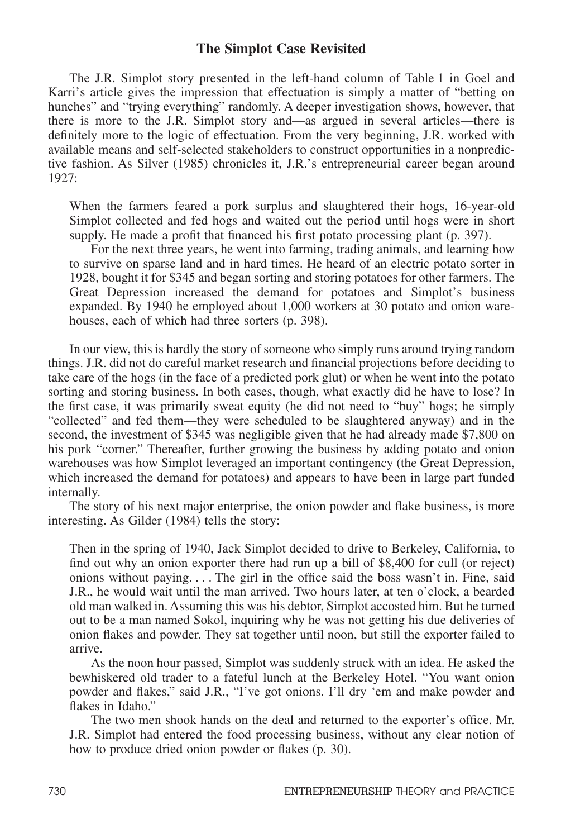## **The Simplot Case Revisited**

The J.R. Simplot story presented in the left-hand column of Table 1 in Goel and Karri's article gives the impression that effectuation is simply a matter of "betting on hunches" and "trying everything" randomly. A deeper investigation shows, however, that there is more to the J.R. Simplot story and—as argued in several articles—there is definitely more to the logic of effectuation. From the very beginning, J.R. worked with available means and self-selected stakeholders to construct opportunities in a nonpredictive fashion. As Silver (1985) chronicles it, J.R.'s entrepreneurial career began around 1927:

When the farmers feared a pork surplus and slaughtered their hogs, 16-year-old Simplot collected and fed hogs and waited out the period until hogs were in short supply. He made a profit that financed his first potato processing plant (p. 397).

For the next three years, he went into farming, trading animals, and learning how to survive on sparse land and in hard times. He heard of an electric potato sorter in 1928, bought it for \$345 and began sorting and storing potatoes for other farmers. The Great Depression increased the demand for potatoes and Simplot's business expanded. By 1940 he employed about 1,000 workers at 30 potato and onion warehouses, each of which had three sorters (p. 398).

In our view, this is hardly the story of someone who simply runs around trying random things. J.R. did not do careful market research and financial projections before deciding to take care of the hogs (in the face of a predicted pork glut) or when he went into the potato sorting and storing business. In both cases, though, what exactly did he have to lose? In the first case, it was primarily sweat equity (he did not need to "buy" hogs; he simply "collected" and fed them—they were scheduled to be slaughtered anyway) and in the second, the investment of \$345 was negligible given that he had already made \$7,800 on his pork "corner." Thereafter, further growing the business by adding potato and onion warehouses was how Simplot leveraged an important contingency (the Great Depression, which increased the demand for potatoes) and appears to have been in large part funded internally.

The story of his next major enterprise, the onion powder and flake business, is more interesting. As Gilder (1984) tells the story:

Then in the spring of 1940, Jack Simplot decided to drive to Berkeley, California, to find out why an onion exporter there had run up a bill of \$8,400 for cull (or reject) onions without paying. . . . The girl in the office said the boss wasn't in. Fine, said J.R., he would wait until the man arrived. Two hours later, at ten o'clock, a bearded old man walked in. Assuming this was his debtor, Simplot accosted him. But he turned out to be a man named Sokol, inquiring why he was not getting his due deliveries of onion flakes and powder. They sat together until noon, but still the exporter failed to arrive.

As the noon hour passed, Simplot was suddenly struck with an idea. He asked the bewhiskered old trader to a fateful lunch at the Berkeley Hotel. "You want onion powder and flakes," said J.R., "I've got onions. I'll dry 'em and make powder and flakes in Idaho."

The two men shook hands on the deal and returned to the exporter's office. Mr. J.R. Simplot had entered the food processing business, without any clear notion of how to produce dried onion powder or flakes (p. 30).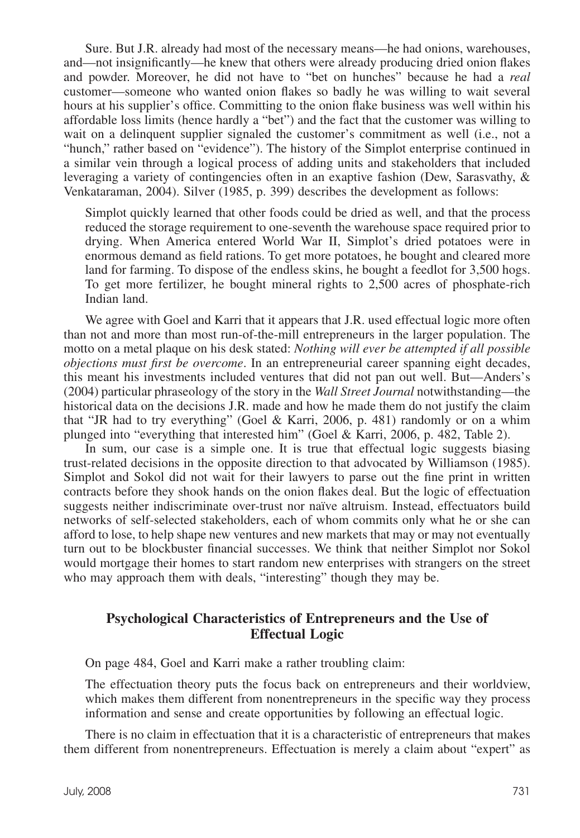Sure. But J.R. already had most of the necessary means—he had onions, warehouses, and—not insignificantly—he knew that others were already producing dried onion flakes and powder. Moreover, he did not have to "bet on hunches" because he had a *real* customer—someone who wanted onion flakes so badly he was willing to wait several hours at his supplier's office. Committing to the onion flake business was well within his affordable loss limits (hence hardly a "bet") and the fact that the customer was willing to wait on a delinquent supplier signaled the customer's commitment as well (i.e., not a "hunch," rather based on "evidence"). The history of the Simplot enterprise continued in a similar vein through a logical process of adding units and stakeholders that included leveraging a variety of contingencies often in an exaptive fashion (Dew, Sarasvathy, & Venkataraman, 2004). Silver (1985, p. 399) describes the development as follows:

Simplot quickly learned that other foods could be dried as well, and that the process reduced the storage requirement to one-seventh the warehouse space required prior to drying. When America entered World War II, Simplot's dried potatoes were in enormous demand as field rations. To get more potatoes, he bought and cleared more land for farming. To dispose of the endless skins, he bought a feedlot for 3,500 hogs. To get more fertilizer, he bought mineral rights to 2,500 acres of phosphate-rich Indian land.

We agree with Goel and Karri that it appears that J.R. used effectual logic more often than not and more than most run-of-the-mill entrepreneurs in the larger population. The motto on a metal plaque on his desk stated: *Nothing will ever be attempted if all possible objections must first be overcome*. In an entrepreneurial career spanning eight decades, this meant his investments included ventures that did not pan out well. But—Anders's (2004) particular phraseology of the story in the *Wall Street Journal* notwithstanding—the historical data on the decisions J.R. made and how he made them do not justify the claim that "JR had to try everything" (Goel & Karri, 2006, p. 481) randomly or on a whim plunged into "everything that interested him" (Goel & Karri, 2006, p. 482, Table 2).

In sum, our case is a simple one. It is true that effectual logic suggests biasing trust-related decisions in the opposite direction to that advocated by Williamson (1985). Simplot and Sokol did not wait for their lawyers to parse out the fine print in written contracts before they shook hands on the onion flakes deal. But the logic of effectuation suggests neither indiscriminate over-trust nor naïve altruism. Instead, effectuators build networks of self-selected stakeholders, each of whom commits only what he or she can afford to lose, to help shape new ventures and new markets that may or may not eventually turn out to be blockbuster financial successes. We think that neither Simplot nor Sokol would mortgage their homes to start random new enterprises with strangers on the street who may approach them with deals, "interesting" though they may be.

# **Psychological Characteristics of Entrepreneurs and the Use of Effectual Logic**

On page 484, Goel and Karri make a rather troubling claim:

The effectuation theory puts the focus back on entrepreneurs and their worldview, which makes them different from nonentrepreneurs in the specific way they process information and sense and create opportunities by following an effectual logic.

There is no claim in effectuation that it is a characteristic of entrepreneurs that makes them different from nonentrepreneurs. Effectuation is merely a claim about "expert" as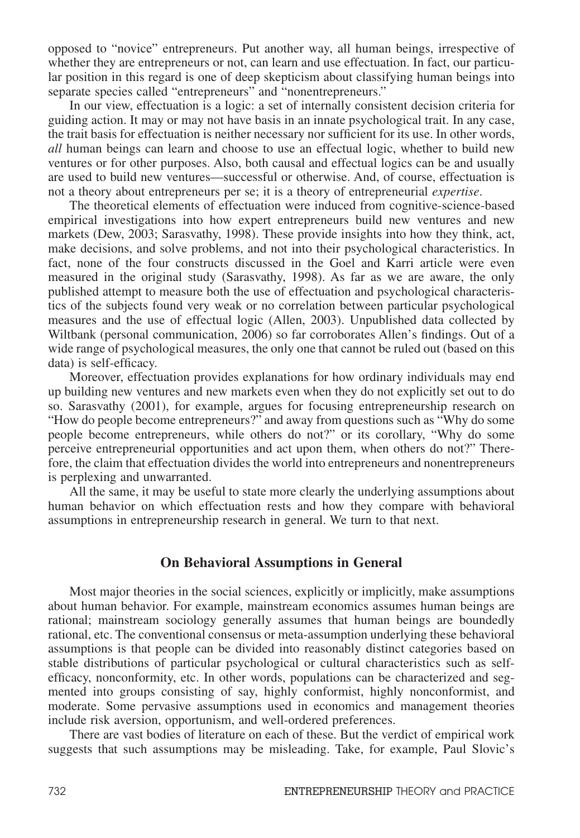opposed to "novice" entrepreneurs. Put another way, all human beings, irrespective of whether they are entrepreneurs or not, can learn and use effectuation. In fact, our particular position in this regard is one of deep skepticism about classifying human beings into separate species called "entrepreneurs" and "nonentrepreneurs."

In our view, effectuation is a logic: a set of internally consistent decision criteria for guiding action. It may or may not have basis in an innate psychological trait. In any case, the trait basis for effectuation is neither necessary nor sufficient for its use. In other words, *all* human beings can learn and choose to use an effectual logic, whether to build new ventures or for other purposes. Also, both causal and effectual logics can be and usually are used to build new ventures—successful or otherwise. And, of course, effectuation is not a theory about entrepreneurs per se; it is a theory of entrepreneurial *expertise*.

The theoretical elements of effectuation were induced from cognitive-science-based empirical investigations into how expert entrepreneurs build new ventures and new markets (Dew, 2003; Sarasvathy, 1998). These provide insights into how they think, act, make decisions, and solve problems, and not into their psychological characteristics. In fact, none of the four constructs discussed in the Goel and Karri article were even measured in the original study (Sarasvathy, 1998). As far as we are aware, the only published attempt to measure both the use of effectuation and psychological characteristics of the subjects found very weak or no correlation between particular psychological measures and the use of effectual logic (Allen, 2003). Unpublished data collected by Wiltbank (personal communication, 2006) so far corroborates Allen's findings. Out of a wide range of psychological measures, the only one that cannot be ruled out (based on this data) is self-efficacy.

Moreover, effectuation provides explanations for how ordinary individuals may end up building new ventures and new markets even when they do not explicitly set out to do so. Sarasvathy (2001), for example, argues for focusing entrepreneurship research on "How do people become entrepreneurs?" and away from questions such as "Why do some people become entrepreneurs, while others do not?" or its corollary, "Why do some perceive entrepreneurial opportunities and act upon them, when others do not?" Therefore, the claim that effectuation divides the world into entrepreneurs and nonentrepreneurs is perplexing and unwarranted.

All the same, it may be useful to state more clearly the underlying assumptions about human behavior on which effectuation rests and how they compare with behavioral assumptions in entrepreneurship research in general. We turn to that next.

#### **On Behavioral Assumptions in General**

Most major theories in the social sciences, explicitly or implicitly, make assumptions about human behavior. For example, mainstream economics assumes human beings are rational; mainstream sociology generally assumes that human beings are boundedly rational, etc. The conventional consensus or meta-assumption underlying these behavioral assumptions is that people can be divided into reasonably distinct categories based on stable distributions of particular psychological or cultural characteristics such as selfefficacy, nonconformity, etc. In other words, populations can be characterized and segmented into groups consisting of say, highly conformist, highly nonconformist, and moderate. Some pervasive assumptions used in economics and management theories include risk aversion, opportunism, and well-ordered preferences.

There are vast bodies of literature on each of these. But the verdict of empirical work suggests that such assumptions may be misleading. Take, for example, Paul Slovic's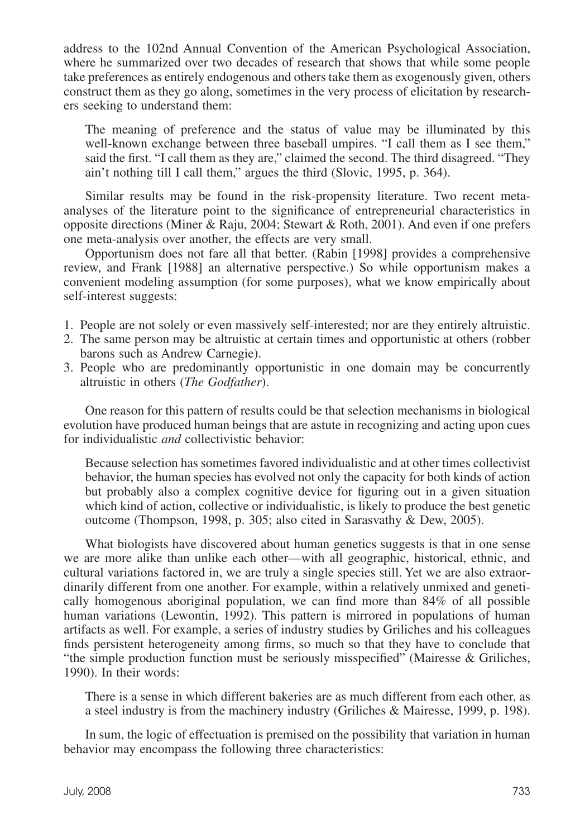address to the 102nd Annual Convention of the American Psychological Association, where he summarized over two decades of research that shows that while some people take preferences as entirely endogenous and others take them as exogenously given, others construct them as they go along, sometimes in the very process of elicitation by researchers seeking to understand them:

The meaning of preference and the status of value may be illuminated by this well-known exchange between three baseball umpires. "I call them as I see them," said the first. "I call them as they are," claimed the second. The third disagreed. "They ain't nothing till I call them," argues the third (Slovic, 1995, p. 364).

Similar results may be found in the risk-propensity literature. Two recent metaanalyses of the literature point to the significance of entrepreneurial characteristics in opposite directions (Miner & Raju, 2004; Stewart & Roth, 2001). And even if one prefers one meta-analysis over another, the effects are very small.

Opportunism does not fare all that better. (Rabin [1998] provides a comprehensive review, and Frank [1988] an alternative perspective.) So while opportunism makes a convenient modeling assumption (for some purposes), what we know empirically about self-interest suggests:

- 1. People are not solely or even massively self-interested; nor are they entirely altruistic.
- 2. The same person may be altruistic at certain times and opportunistic at others (robber barons such as Andrew Carnegie).
- 3. People who are predominantly opportunistic in one domain may be concurrently altruistic in others (*The Godfather*).

One reason for this pattern of results could be that selection mechanisms in biological evolution have produced human beings that are astute in recognizing and acting upon cues for individualistic *and* collectivistic behavior:

Because selection has sometimes favored individualistic and at other times collectivist behavior, the human species has evolved not only the capacity for both kinds of action but probably also a complex cognitive device for figuring out in a given situation which kind of action, collective or individualistic, is likely to produce the best genetic outcome (Thompson, 1998, p. 305; also cited in Sarasvathy & Dew, 2005).

What biologists have discovered about human genetics suggests is that in one sense we are more alike than unlike each other—with all geographic, historical, ethnic, and cultural variations factored in, we are truly a single species still. Yet we are also extraordinarily different from one another. For example, within a relatively unmixed and genetically homogenous aboriginal population, we can find more than 84% of all possible human variations (Lewontin, 1992). This pattern is mirrored in populations of human artifacts as well. For example, a series of industry studies by Griliches and his colleagues finds persistent heterogeneity among firms, so much so that they have to conclude that "the simple production function must be seriously misspecified" (Mairesse & Griliches, 1990). In their words:

There is a sense in which different bakeries are as much different from each other, as a steel industry is from the machinery industry (Griliches & Mairesse, 1999, p. 198).

In sum, the logic of effectuation is premised on the possibility that variation in human behavior may encompass the following three characteristics: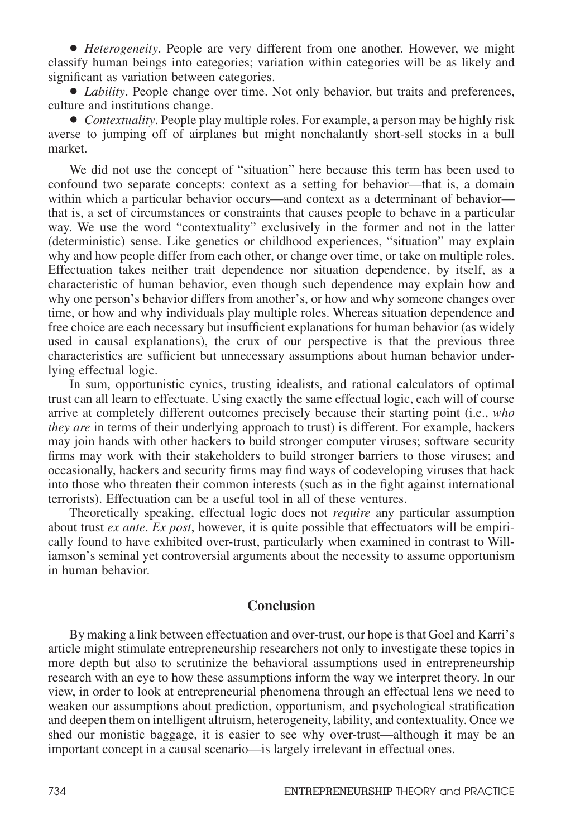• *Heterogeneity*. People are very different from one another. However, we might classify human beings into categories; variation within categories will be as likely and significant as variation between categories.

• *Lability*. People change over time. Not only behavior, but traits and preferences, culture and institutions change.

• *Contextuality*. People play multiple roles. For example, a person may be highly risk averse to jumping off of airplanes but might nonchalantly short-sell stocks in a bull market.

We did not use the concept of "situation" here because this term has been used to confound two separate concepts: context as a setting for behavior—that is, a domain within which a particular behavior occurs—and context as a determinant of behavior that is, a set of circumstances or constraints that causes people to behave in a particular way. We use the word "contextuality" exclusively in the former and not in the latter (deterministic) sense. Like genetics or childhood experiences, "situation" may explain why and how people differ from each other, or change over time, or take on multiple roles. Effectuation takes neither trait dependence nor situation dependence, by itself, as a characteristic of human behavior, even though such dependence may explain how and why one person's behavior differs from another's, or how and why someone changes over time, or how and why individuals play multiple roles. Whereas situation dependence and free choice are each necessary but insufficient explanations for human behavior (as widely used in causal explanations), the crux of our perspective is that the previous three characteristics are sufficient but unnecessary assumptions about human behavior underlying effectual logic.

In sum, opportunistic cynics, trusting idealists, and rational calculators of optimal trust can all learn to effectuate. Using exactly the same effectual logic, each will of course arrive at completely different outcomes precisely because their starting point (i.e., *who they are* in terms of their underlying approach to trust) is different. For example, hackers may join hands with other hackers to build stronger computer viruses; software security firms may work with their stakeholders to build stronger barriers to those viruses; and occasionally, hackers and security firms may find ways of codeveloping viruses that hack into those who threaten their common interests (such as in the fight against international terrorists). Effectuation can be a useful tool in all of these ventures.

Theoretically speaking, effectual logic does not *require* any particular assumption about trust *ex ante*. *Ex post*, however, it is quite possible that effectuators will be empirically found to have exhibited over-trust, particularly when examined in contrast to Williamson's seminal yet controversial arguments about the necessity to assume opportunism in human behavior.

### **Conclusion**

By making a link between effectuation and over-trust, our hope is that Goel and Karri's article might stimulate entrepreneurship researchers not only to investigate these topics in more depth but also to scrutinize the behavioral assumptions used in entrepreneurship research with an eye to how these assumptions inform the way we interpret theory. In our view, in order to look at entrepreneurial phenomena through an effectual lens we need to weaken our assumptions about prediction, opportunism, and psychological stratification and deepen them on intelligent altruism, heterogeneity, lability, and contextuality. Once we shed our monistic baggage, it is easier to see why over-trust—although it may be an important concept in a causal scenario—is largely irrelevant in effectual ones.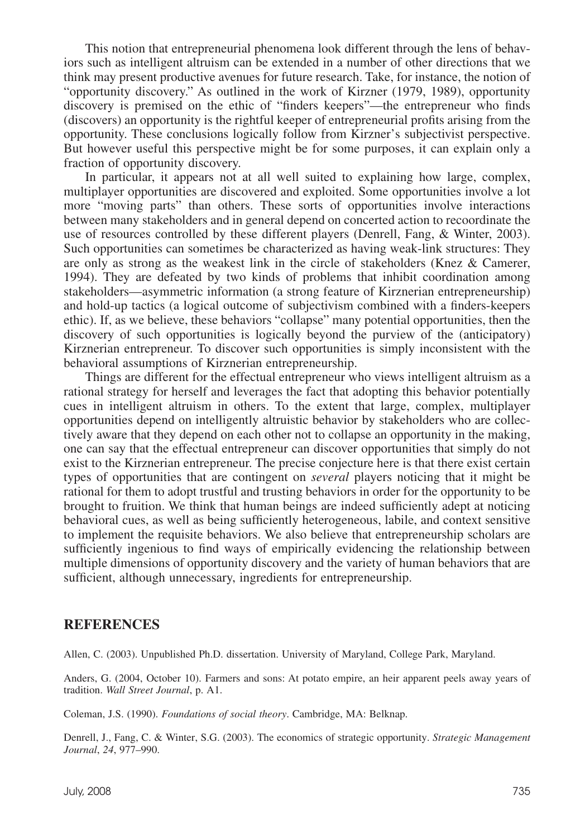This notion that entrepreneurial phenomena look different through the lens of behaviors such as intelligent altruism can be extended in a number of other directions that we think may present productive avenues for future research. Take, for instance, the notion of "opportunity discovery." As outlined in the work of Kirzner (1979, 1989), opportunity discovery is premised on the ethic of "finders keepers"—the entrepreneur who finds (discovers) an opportunity is the rightful keeper of entrepreneurial profits arising from the opportunity. These conclusions logically follow from Kirzner's subjectivist perspective. But however useful this perspective might be for some purposes, it can explain only a fraction of opportunity discovery.

In particular, it appears not at all well suited to explaining how large, complex, multiplayer opportunities are discovered and exploited. Some opportunities involve a lot more "moving parts" than others. These sorts of opportunities involve interactions between many stakeholders and in general depend on concerted action to recoordinate the use of resources controlled by these different players (Denrell, Fang, & Winter, 2003). Such opportunities can sometimes be characterized as having weak-link structures: They are only as strong as the weakest link in the circle of stakeholders (Knez & Camerer, 1994). They are defeated by two kinds of problems that inhibit coordination among stakeholders—asymmetric information (a strong feature of Kirznerian entrepreneurship) and hold-up tactics (a logical outcome of subjectivism combined with a finders-keepers ethic). If, as we believe, these behaviors "collapse" many potential opportunities, then the discovery of such opportunities is logically beyond the purview of the (anticipatory) Kirznerian entrepreneur. To discover such opportunities is simply inconsistent with the behavioral assumptions of Kirznerian entrepreneurship.

Things are different for the effectual entrepreneur who views intelligent altruism as a rational strategy for herself and leverages the fact that adopting this behavior potentially cues in intelligent altruism in others. To the extent that large, complex, multiplayer opportunities depend on intelligently altruistic behavior by stakeholders who are collectively aware that they depend on each other not to collapse an opportunity in the making, one can say that the effectual entrepreneur can discover opportunities that simply do not exist to the Kirznerian entrepreneur. The precise conjecture here is that there exist certain types of opportunities that are contingent on *several* players noticing that it might be rational for them to adopt trustful and trusting behaviors in order for the opportunity to be brought to fruition. We think that human beings are indeed sufficiently adept at noticing behavioral cues, as well as being sufficiently heterogeneous, labile, and context sensitive to implement the requisite behaviors. We also believe that entrepreneurship scholars are sufficiently ingenious to find ways of empirically evidencing the relationship between multiple dimensions of opportunity discovery and the variety of human behaviors that are sufficient, although unnecessary, ingredients for entrepreneurship.

# **REFERENCES**

Allen, C. (2003). Unpublished Ph.D. dissertation. University of Maryland, College Park, Maryland.

Anders, G. (2004, October 10). Farmers and sons: At potato empire, an heir apparent peels away years of tradition. *Wall Street Journal*, p. A1.

Coleman, J.S. (1990). *Foundations of social theory*. Cambridge, MA: Belknap.

Denrell, J., Fang, C. & Winter, S.G. (2003). The economics of strategic opportunity. *Strategic Management Journal*, *24*, 977–990.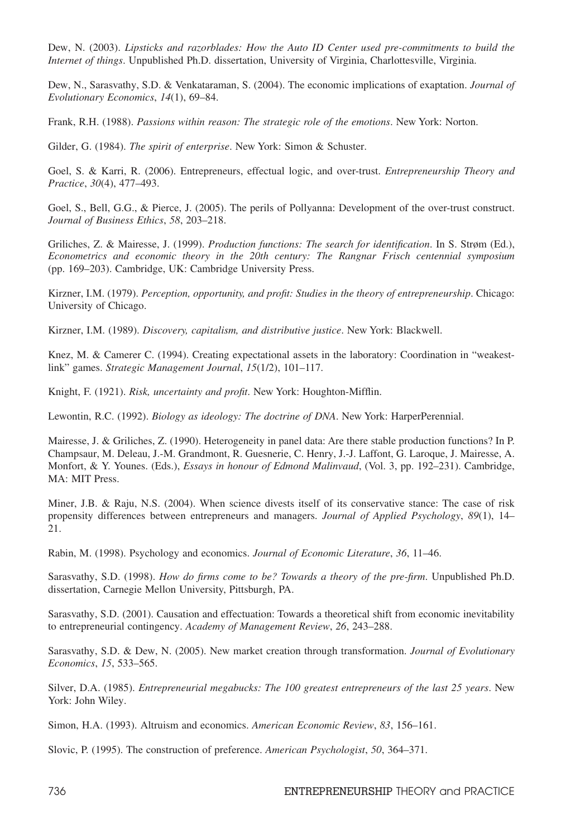Dew, N. (2003). *Lipsticks and razorblades: How the Auto ID Center used pre-commitments to build the Internet of things*. Unpublished Ph.D. dissertation, University of Virginia, Charlottesville, Virginia.

Dew, N., Sarasvathy, S.D. & Venkataraman, S. (2004). The economic implications of exaptation. *Journal of Evolutionary Economics*, *14*(1), 69–84.

Frank, R.H. (1988). *Passions within reason: The strategic role of the emotions*. New York: Norton.

Gilder, G. (1984). *The spirit of enterprise*. New York: Simon & Schuster.

Goel, S. & Karri, R. (2006). Entrepreneurs, effectual logic, and over-trust. *Entrepreneurship Theory and Practice*, *30*(4), 477–493.

Goel, S., Bell, G.G., & Pierce, J. (2005). The perils of Pollyanna: Development of the over-trust construct. *Journal of Business Ethics*, *58*, 203–218.

Griliches, Z. & Mairesse, J. (1999). *Production functions: The search for identification*. In S. Strøm (Ed.), *Econometrics and economic theory in the 20th century: The Rangnar Frisch centennial symposium* (pp. 169–203). Cambridge, UK: Cambridge University Press.

Kirzner, I.M. (1979). *Perception, opportunity, and profit: Studies in the theory of entrepreneurship*. Chicago: University of Chicago.

Kirzner, I.M. (1989). *Discovery, capitalism, and distributive justice*. New York: Blackwell.

Knez, M. & Camerer C. (1994). Creating expectational assets in the laboratory: Coordination in "weakestlink" games. *Strategic Management Journal*, *15*(1/2), 101–117.

Knight, F. (1921). *Risk, uncertainty and profit*. New York: Houghton-Mifflin.

Lewontin, R.C. (1992). *Biology as ideology: The doctrine of DNA*. New York: HarperPerennial.

Mairesse, J. & Griliches, Z. (1990). Heterogeneity in panel data: Are there stable production functions? In P. Champsaur, M. Deleau, J.-M. Grandmont, R. Guesnerie, C. Henry, J.-J. Laffont, G. Laroque, J. Mairesse, A. Monfort, & Y. Younes. (Eds.), *Essays in honour of Edmond Malinvaud*, (Vol. 3, pp. 192–231). Cambridge, MA: MIT Press.

Miner, J.B. & Raju, N.S. (2004). When science divests itself of its conservative stance: The case of risk propensity differences between entrepreneurs and managers. *Journal of Applied Psychology*, *89*(1), 14– 21.

Rabin, M. (1998). Psychology and economics. *Journal of Economic Literature*, *36*, 11–46.

Sarasvathy, S.D. (1998). *How do firms come to be? Towards a theory of the pre-firm*. Unpublished Ph.D. dissertation, Carnegie Mellon University, Pittsburgh, PA.

Sarasvathy, S.D. (2001). Causation and effectuation: Towards a theoretical shift from economic inevitability to entrepreneurial contingency. *Academy of Management Review*, *26*, 243–288.

Sarasvathy, S.D. & Dew, N. (2005). New market creation through transformation. *Journal of Evolutionary Economics*, *15*, 533–565.

Silver, D.A. (1985). *Entrepreneurial megabucks: The 100 greatest entrepreneurs of the last 25 years*. New York: John Wiley.

Simon, H.A. (1993). Altruism and economics. *American Economic Review*, *83*, 156–161.

Slovic, P. (1995). The construction of preference. *American Psychologist*, *50*, 364–371.